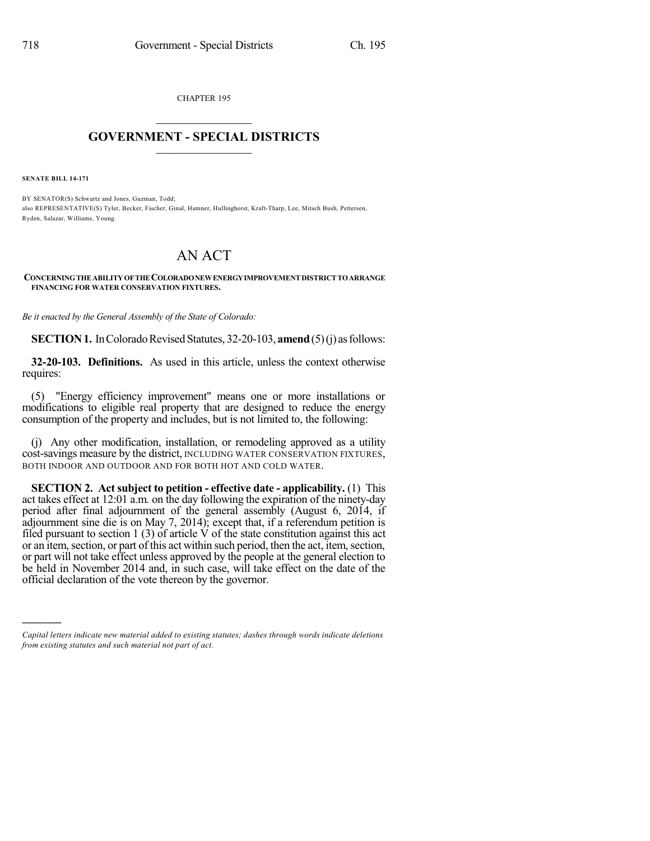CHAPTER 195  $\mathcal{L}_\text{max}$  . The set of the set of the set of the set of the set of the set of the set of the set of the set of the set of the set of the set of the set of the set of the set of the set of the set of the set of the set

## **GOVERNMENT - SPECIAL DISTRICTS**  $\_$   $\_$

**SENATE BILL 14-171**

)))))

BY SENATOR(S) Schwartz and Jones, Guzman, Todd; also REPRESENTATIVE(S) Tyler, Becker, Fischer, Ginal, Hamner, Hullinghorst, Kraft-Tharp, Lee, Mitsch Bush, Pettersen, Ryden, Salazar, Williams, Young.

## AN ACT

## **CONCERNINGTHEABILITYOFTHECOLORADONEWENERGYIMPROVEMENTDISTRICTTOARRANGE FINANCING FOR WATER CONSERVATION FIXTURES.**

*Be it enacted by the General Assembly of the State of Colorado:*

**SECTION 1.** In Colorado Revised Statutes, 32-20-103, **amend** (5)(j) as follows:

**32-20-103. Definitions.** As used in this article, unless the context otherwise requires:

(5) "Energy efficiency improvement" means one or more installations or modifications to eligible real property that are designed to reduce the energy consumption of the property and includes, but is not limited to, the following:

(j) Any other modification, installation, or remodeling approved as a utility cost-savings measure by the district, INCLUDING WATER CONSERVATION FIXTURES, BOTH INDOOR AND OUTDOOR AND FOR BOTH HOT AND COLD WATER.

**SECTION 2. Act subject to petition - effective date - applicability.** (1) This act takes effect at 12:01 a.m. on the day following the expiration of the ninety-day period after final adjournment of the general assembly (August 6, 2014, if adjournment sine die is on May 7, 2014); except that, if a referendum petition is filed pursuant to section  $1(3)$  of article V of the state constitution against this act or an item, section, or part of this act within such period, then the act, item, section, or part will not take effect unless approved by the people at the general election to be held in November 2014 and, in such case, will take effect on the date of the official declaration of the vote thereon by the governor.

*Capital letters indicate new material added to existing statutes; dashes through words indicate deletions from existing statutes and such material not part of act.*